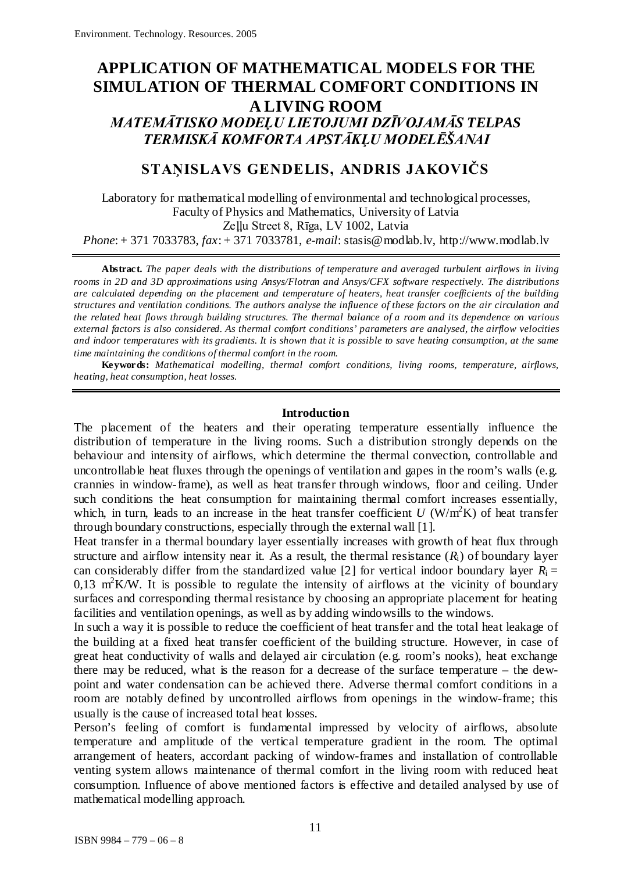## **APPLICATION OF MATHEMATICAL MODELS FOR THE SIMULATION OF THERMAL COMFORT CONDITIONS IN A LIVING ROOM** *MATEMĀTISKO MODEĻU LIETOJUMI DZĪVOJAMĀS TELPAS TERMISKĀ KOMFORTA APSTĀKĻU MODELĒŠANAI*

# **STAŅISLAVS GENDELIS, ANDRIS JAKOVIČS**

Laboratory for mathematical modelling of environmental and technological processes, Faculty of Physics and Mathematics, University of Latvia Zeļļu Street 8, Rīga, LV 1002, Latvia

*Phone*: + 371 7033783, *fax*: + 371 7033781, *e-mail*: stasis@modlab.lv, [http://www.modlab.lv](http://www.modlab.lv/)

**Abstract.** *The paper deals with the distributions of temperature and averaged turbulent airflows in living rooms in 2D and 3D approximations using Ansys/Flotran and Ansys/CFX software respectively. The distributions are calculated depending on the placement and temperature of heaters, heat transfer coefficients of the building structures and ventilation conditions. The authors analyse the influence of these factors on the air circulation and the related heat flows through building structures. The thermal balance of a room and its dependence on various external factors is also considered. As thermal comfort conditions' parameters are analysed, the airflow velocities and indoor temperatures with its gradients. It is shown that it is possible to save heating consumption, at the same time maintaining the conditions of thermal comfort in the room.*

**Keywords:** *Mathematical modelling, thermal comfort conditions, living rooms, temperature, airflows, heating, heat consumption, heat losses.*

### **Introduction**

The placement of the heaters and their operating temperature essentially influence the distribution of temperature in the living rooms. Such a distribution strongly depends on the behaviour and intensity of airflows, which determine the thermal convection, controllable and uncontrollable heat fluxes through the openings of ventilation and gapes in the room's walls (e.g. crannies in window-frame), as well as heat transfer through windows, floor and ceiling. Under such conditions the heat consumption for maintaining thermal comfort increases essentially, which, in turn, leads to an increase in the heat transfer coefficient  $U$  (W/m<sup>2</sup>K) of heat transfer through boundary constructions, especially through the external wall [1].

Heat transfer in a thermal boundary layer essentially increases with growth of heat flux through structure and airflow intensity near it. As a result, the thermal resistance  $(R<sub>i</sub>)$  of boundary layer can considerably differ from the standardized value [2] for vertical indoor boundary layer  $R_i =$  $0.13$  m<sup>2</sup>K/W. It is possible to regulate the intensity of airflows at the vicinity of boundary surfaces and corresponding thermal resistance by choosing an appropriate placement for heating facilities and ventilation openings, as well as by adding windowsills to the windows.

In such a way it is possible to reduce the coefficient of heat transfer and the total heat leakage of the building at a fixed heat transfer coefficient of the building structure. However, in case of great heat conductivity of walls and delayed air circulation (e.g. room's nooks), heat exchange there may be reduced, what is the reason for a decrease of the surface temperature – the dewpoint and water condensation can be achieved there. Adverse thermal comfort conditions in a room are notably defined by uncontrolled airflows from openings in the window-frame; this usually is the cause of increased total heat losses.

Person's feeling of comfort is fundamental impressed by velocity of airflows, absolute temperature and amplitude of the vertical temperature gradient in the room. The optimal arrangement of heaters, accordant packing of window-frames and installation of controllable venting system allows maintenance of thermal comfort in the living room with reduced heat consumption. Influence of above mentioned factors is effective and detailed analysed by use of mathematical modelling approach.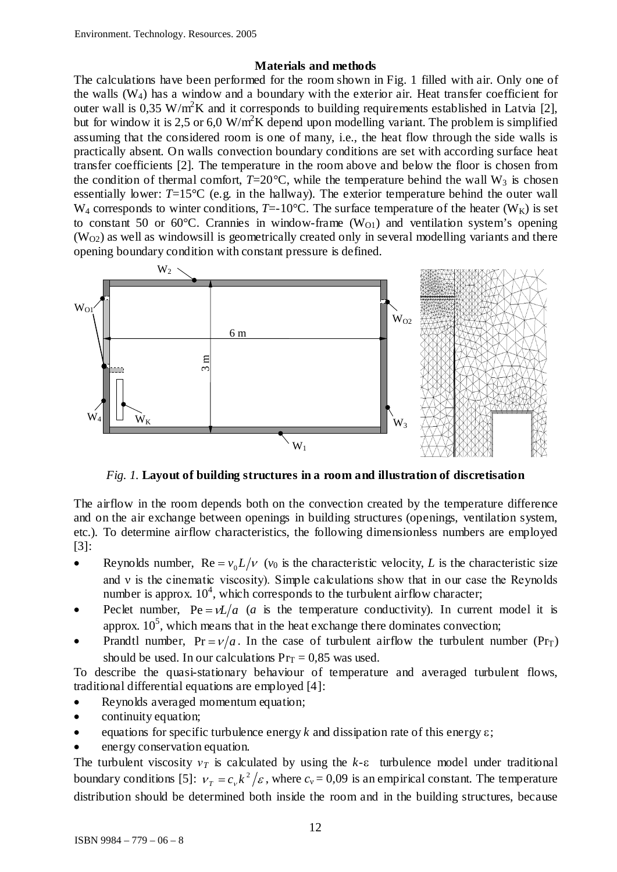## **Materials and methods**

The calculations have been performed for the room shown in Fig. 1 filled with air. Only one of the walls  $(W_4)$  has a window and a boundary with the exterior air. Heat transfer coefficient for outer wall is 0,35 W/m<sup>2</sup>K and it corresponds to building requirements established in Latvia [2], but for window it is 2,5 or 6,0 W/m<sup>2</sup>K depend upon modelling variant. The problem is simplified assuming that the considered room is one of many, i.e., the heat flow through the side walls is practically absent. On walls convection boundary conditions are set with according surface heat transfer coefficients [2]. The temperature in the room above and below the floor is chosen from the condition of thermal comfort,  $T=20^{\circ}$ C, while the temperature behind the wall W<sub>3</sub> is chosen essentially lower: *T*=15°C (e.g. in the hallway). The exterior temperature behind the outer wall  $W_4$  corresponds to winter conditions, *T*=-10°C. The surface temperature of the heater ( $W_K$ ) is set to constant 50 or 60 $\degree$ C. Crannies in window-frame (W<sub>O1</sub>) and ventilation system's opening  $(W<sub>02</sub>)$  as well as windowsill is geometrically created only in several modelling variants and there opening boundary condition with constant pressure is defined.



*Fig. 1.* **Layout of building structures in a room and illustration of discretisation**

The airflow in the room depends both on the convection created by the temperature difference and on the air exchange between openings in building structures (openings, ventilation system, etc.). To determine airflow characteristics, the following dimensionless numbers are employed [3]:

- Reynolds number,  $\text{Re} = v_0 L/v$  ( $v_0$  is the characteristic velocity, *L* is the characteristic size and  $\nu$  is the cinematic viscosity). Simple calculations show that in our case the Reynolds number is approx.  $10^4$ , which corresponds to the turbulent airflow character;
- Peclet number,  $Pe = vL/a$  *(a* is the temperature conductivity). In current model it is approx.  $10^5$ , which means that in the heat exchange there dominates convection;
- Prandtl number,  $Pr = v/a$ . In the case of turbulent airflow the turbulent number (Pr<sub>T</sub>) should be used. In our calculations  $Pr_T = 0.85$  was used.

To describe the quasi-stationary behaviour of temperature and averaged turbulent flows, traditional differential equations are employed [4]:

- Reynolds averaged momentum equation;
- continuity equation;
- equations for specific turbulence energy *k* and dissipation rate of this energy ε;
- energy conservation equation.

The turbulent viscosity  $v_T$  is calculated by using the  $k$ -ε turbulence model under traditional boundary conditions [5]:  $v_T = c_v k^2 / \varepsilon$ , where  $c_v = 0.09$  is an empirical constant. The temperature distribution should be determined both inside the room and in the building structures, because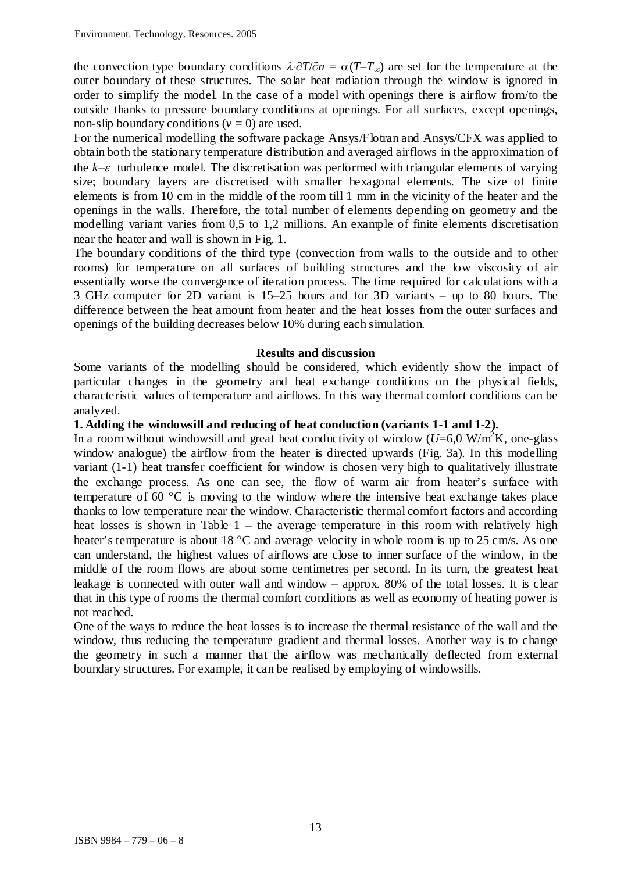the convection type boundary conditions  $\lambda \frac{\partial T}{\partial n} = \alpha (T - T_{\infty})$  are set for the temperature at the outer boundary of these structures. The solar heat radiation through the window is ignored in order to simplify the model. In the case of a model with openings there is airflow from/to the outside thanks to pressure boundary conditions at openings. For all surfaces, except openings, non-slip boundary conditions  $(v = 0)$  are used.

For the numerical modelling the software package Ansys/Flotran and Ansys/CFX was applied to obtain both the stationary temperature distribution and averaged airflows in the approximation of the *k–*ε turbulence model. The discretisation was performed with triangular elements of varying size; boundary layers are discretised with smaller hexagonal elements. The size of finite elements is from 10 cm in the middle of the room till 1 mm in the vicinity of the heater and the openings in the walls. Therefore, the total number of elements depending on geometry and the modelling variant varies from 0,5 to 1,2 millions. An example of finite elements discretisation near the heater and wall is shown in Fig. 1.

The boundary conditions of the third type (convection from walls to the outside and to other rooms) for temperature on all surfaces of building structures and the low viscosity of air essentially worse the convergence of iteration process. The time required for calculations with a 3 GHz computer for 2D variant is 15–25 hours and for 3D variants – up to 80 hours. The difference between the heat amount from heater and the heat losses from the outer surfaces and openings of the building decreases below 10% during each simulation.

### **Results and discussion**

Some variants of the modelling should be considered, which evidently show the impact of particular changes in the geometry and heat exchange conditions on the physical fields, characteristic values of temperature and airflows. In this way thermal comfort conditions can be analyzed.

## **1. Adding the windowsill and reducing of heat conduction (variants 1-1 and 1-2).**

In a room without windowsill and great heat conductivity of window  $(U=6.0 \text{ W/m}^2\text{K})$ , one-glass window analogue) the airflow from the heater is directed upwards (Fig. 3a). In this modelling variant (1-1) heat transfer coefficient for window is chosen very high to qualitatively illustrate the exchange process. As one can see, the flow of warm air from heater's surface with temperature of 60 °C is moving to the window where the intensive heat exchange takes place thanks to low temperature near the window. Characteristic thermal comfort factors and according heat losses is shown in Table  $1 -$  the average temperature in this room with relatively high heater's temperature is about 18 °C and average velocity in whole room is up to 25 cm/s. As one can understand, the highest values of airflows are close to inner surface of the window, in the middle of the room flows are about some centimetres per second. In its turn, the greatest heat leakage is connected with outer wall and window – approx. 80% of the total losses. It is clear that in this type of rooms the thermal comfort conditions as well as economy of heating power is not reached.

One of the ways to reduce the heat losses is to increase the thermal resistance of the wall and the window, thus reducing the temperature gradient and thermal losses. Another way is to change the geometry in such a manner that the airflow was mechanically deflected from external boundary structures. For example, it can be realised by employing of windowsills.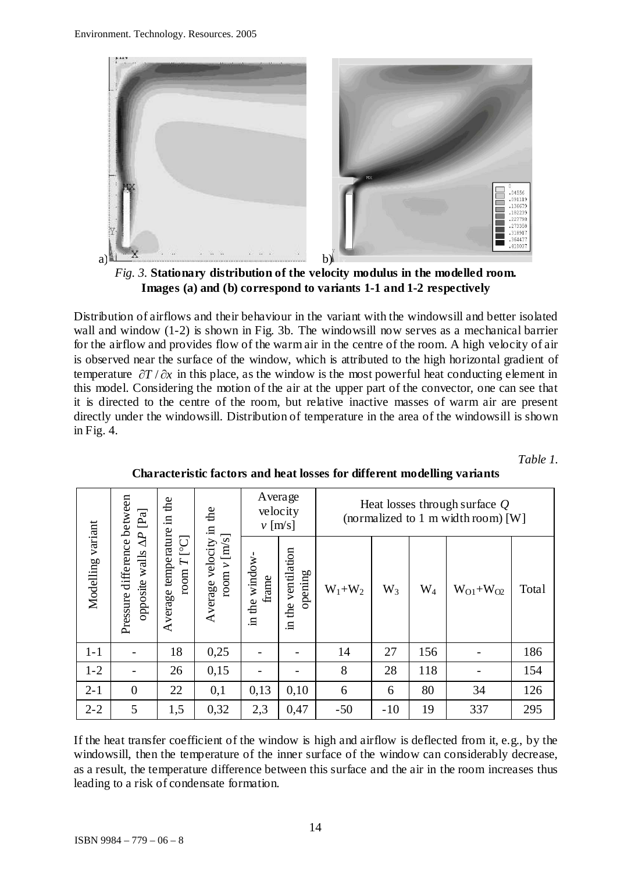

*Fig. 3.* **Stationary distribution of the velocity modulus in the modelled room. Images (a) and (b) correspond to variants 1-1 and 1-2 respectively**

Distribution of airflows and their behaviour in the variant with the windowsill and better isolated wall and window (1-2) is shown in Fig. 3b. The windowsill now serves as a mechanical barrier for the airflow and provides flow of the warm air in the centre of the room. A high velocity of air is observed near the surface of the window, which is attributed to the high horizontal gradient of temperature ∂*T* / ∂*x* in this place, as the window is the most powerful heat conducting element in this model. Considering the motion of the air at the upper part of the convector, one can see that it is directed to the centre of the room, but relative inactive masses of warm air are present directly under the windowsill. Distribution of temperature in the area of the windowsill is shown in Fig. 4.

*Table 1.* 

|                   | $[\mathbb{P}\mathbf{a}]$                                        | the<br>Ξ.                                                       | the<br>щ.<br>[m/s]<br>Average velocity<br>room $\nu$ | Average<br>velocity<br>$v$ [m/s] |                                                     | Heat losses through surface $Q$<br>(normalized to 1 m width room) [W] |       |           |                   |       |
|-------------------|-----------------------------------------------------------------|-----------------------------------------------------------------|------------------------------------------------------|----------------------------------|-----------------------------------------------------|-----------------------------------------------------------------------|-------|-----------|-------------------|-------|
| Modelling variant | Pressure difference between<br>$\Delta P$<br>walls.<br>opposite | temperature<br>[°C]<br>$\mathbf{I}$<br>$r_{\rm OOM}$<br>Average |                                                      | in the window<br>frame           | ventilation<br>opening<br>the <sup>-</sup><br>$\Xi$ | $W_1+W_2$                                                             | $W_3$ | $\rm W_4$ | $W_{O1} + W_{O2}$ | Total |
| $1 - 1$           |                                                                 | 18                                                              | 0,25                                                 |                                  |                                                     | 14                                                                    | 27    | 156       |                   | 186   |
| $1 - 2$           |                                                                 | 26                                                              | 0,15                                                 |                                  |                                                     | 8                                                                     | 28    | 118       |                   | 154   |
| $2 - 1$           | $\overline{0}$                                                  | 22                                                              | 0,1                                                  | 0,13                             | 0,10                                                | 6                                                                     | 6     | 80        | 34                | 126   |
| $2 - 2$           | 5                                                               | 1,5                                                             | 0,32                                                 | 2,3                              | 0,47                                                | $-50$                                                                 | $-10$ | 19        | 337               | 295   |

**Characteristic factors and heat losses for different modelling variants**

If the heat transfer coefficient of the window is high and airflow is deflected from it, e.g., by the windowsill, then the temperature of the inner surface of the window can considerably decrease, as a result, the temperature difference between this surface and the air in the room increases thus leading to a risk of condensate formation.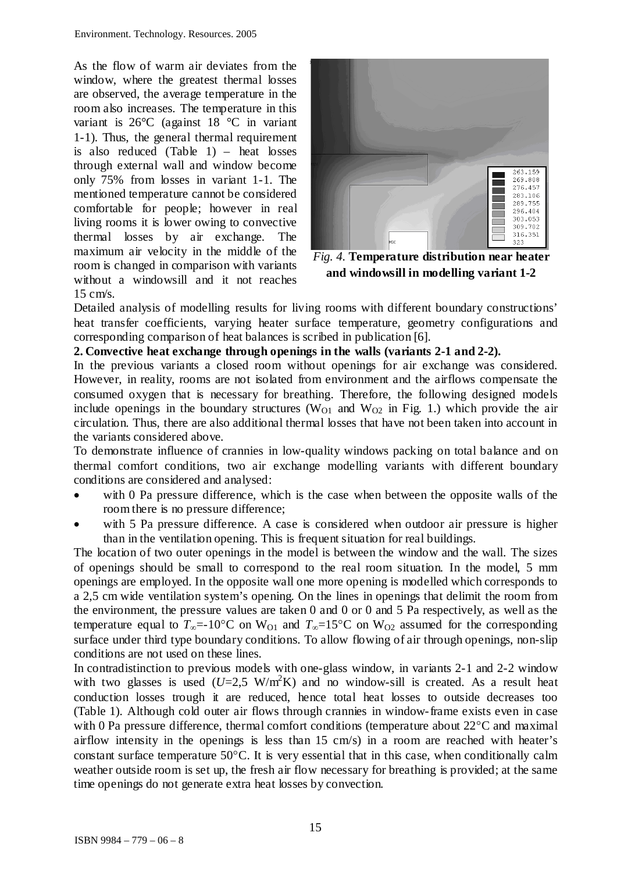As the flow of warm air deviates from the window, where the greatest thermal losses are observed, the average temperature in the room also increases. The temperature in this variant is 26°C (against 18 °C in variant 1-1). Thus, the general thermal requirement is also reduced (Table 1) – heat losses through external wall and window become only 75% from losses in variant 1-1. The mentioned temperature cannot be considered comfortable for people; however in real living rooms it is lower owing to convective thermal losses by air exchange. The maximum air velocity in the middle of the room is changed in comparison with variants without a windowsill and it not reaches  $15 \text{ cm/s}$ .



*Fig. 4.* **Temperature distribution near heater and windowsill in modelling variant 1-2**

Detailed analysis of modelling results for living rooms with different boundary constructions' heat transfer coefficients, varying heater surface temperature, geometry configurations and corresponding comparison of heat balances is scribed in publication [6].

## **2. Convective heat exchange through openings in the walls (variants 2-1 and 2-2).**

In the previous variants a closed room without openings for air exchange was considered. However, in reality, rooms are not isolated from environment and the airflows compensate the consumed oxygen that is necessary for breathing. Therefore, the following designed models include openings in the boundary structures ( $W<sub>O1</sub>$  and  $W<sub>O2</sub>$  in Fig. 1.) which provide the air circulation. Thus, there are also additional thermal losses that have not been taken into account in the variants considered above.

To demonstrate influence of crannies in low-quality windows packing on total balance and on thermal comfort conditions, two air exchange modelling variants with different boundary conditions are considered and analysed:

- with 0 Pa pressure difference, which is the case when between the opposite walls of the room there is no pressure difference;
- with 5 Pa pressure difference. A case is considered when outdoor air pressure is higher than in the ventilation opening. This is frequent situation for real buildings.

The location of two outer openings in the model is between the window and the wall. The sizes of openings should be small to correspond to the real room situation. In the model, 5 mm openings are employed. In the opposite wall one more opening is modelled which corresponds to a 2,5 cm wide ventilation system's opening. On the lines in openings that delimit the room from the environment, the pressure values are taken 0 and 0 or 0 and 5 Pa respectively, as well as the temperature equal to  $T_{\infty}$ =-10°C on W<sub>O1</sub> and  $T_{\infty}$ =15°C on W<sub>O2</sub> assumed for the corresponding surface under third type boundary conditions. To allow flowing of air through openings, non-slip conditions are not used on these lines.

In contradistinction to previous models with one-glass window, in variants 2-1 and 2-2 window with two glasses is used  $(U=2.5 \text{ W/m}^2\text{K})$  and no window-sill is created. As a result heat conduction losses trough it are reduced, hence total heat losses to outside decreases too (Table 1). Although cold outer air flows through crannies in window-frame exists even in case with 0 Pa pressure difference, thermal comfort conditions (temperature about 22<sup>o</sup>C and maximal airflow intensity in the openings is less than 15 cm/s) in a room are reached with heater's constant surface temperature 50°C. It is very essential that in this case, when conditionally calm weather outside room is set up, the fresh air flow necessary for breathing is provided; at the same time openings do not generate extra heat losses by convection.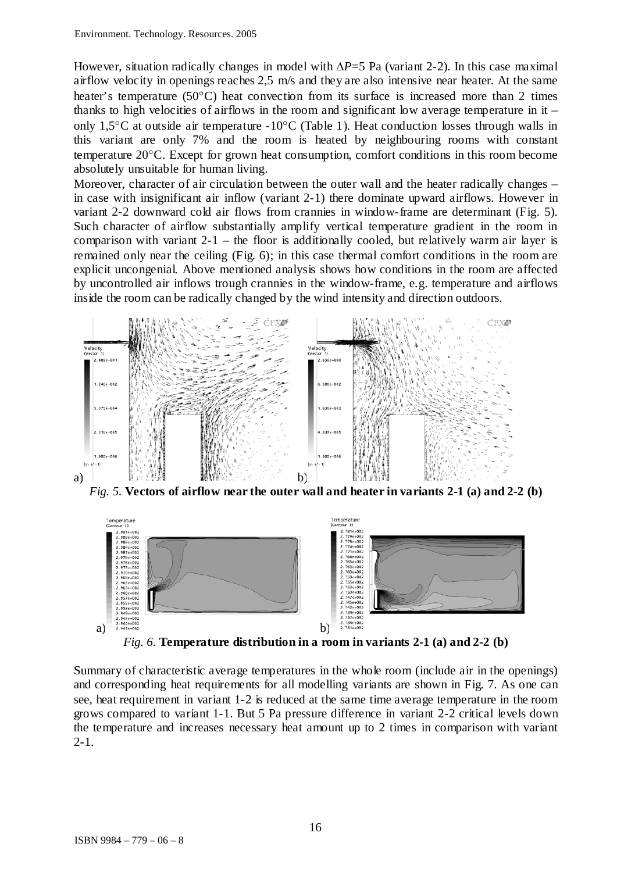However, situation radically changes in model with  $\Delta P = 5$  Pa (variant 2-2). In this case maximal airflow velocity in openings reaches 2,5 m/s and they are also intensive near heater. At the same heater's temperature (50°C) heat convection from its surface is increased more than 2 times thanks to high velocities of airflows in the room and significant low average temperature in it – only 1,5°C at outside air temperature -10°C (Table 1). Heat conduction losses through walls in this variant are only 7% and the room is heated by neighbouring rooms with constant temperature 20°C. Except for grown heat consumption, comfort conditions in this room become absolutely unsuitable for human living.

Moreover, character of air circulation between the outer wall and the heater radically changes – in case with insignificant air inflow (variant 2-1) there dominate upward airflows. However in variant 2-2 downward cold air flows from crannies in window-frame are determinant (Fig. 5). Such character of airflow substantially amplify vertical temperature gradient in the room in comparison with variant  $2-1$  – the floor is additionally cooled, but relatively warm air layer is remained only near the ceiling (Fig. 6); in this case thermal comfort conditions in the room are explicit uncongenial. Above mentioned analysis shows how conditions in the room are affected by uncontrolled air inflows trough crannies in the window-frame, e.g. temperature and airflows inside the room can be radically changed by the wind intensity and direction outdoors.



*Fig. 5.* **Vectors of airflow near the outer wall and heater in variants 2-1 (a) and 2-2 (b)**



*Fig. 6.* **Temperature distribution in a room in variants 2-1 (a) and 2-2 (b)**

Summary of characteristic average temperatures in the whole room (include air in the openings) and corresponding heat requirements for all modelling variants are shown in Fig. 7. As one can see, heat requirement in variant 1-2 is reduced at the same time average temperature in the room grows compared to variant 1-1. But 5 Pa pressure difference in variant 2-2 critical levels down the temperature and increases necessary heat amount up to 2 times in comparison with variant 2-1.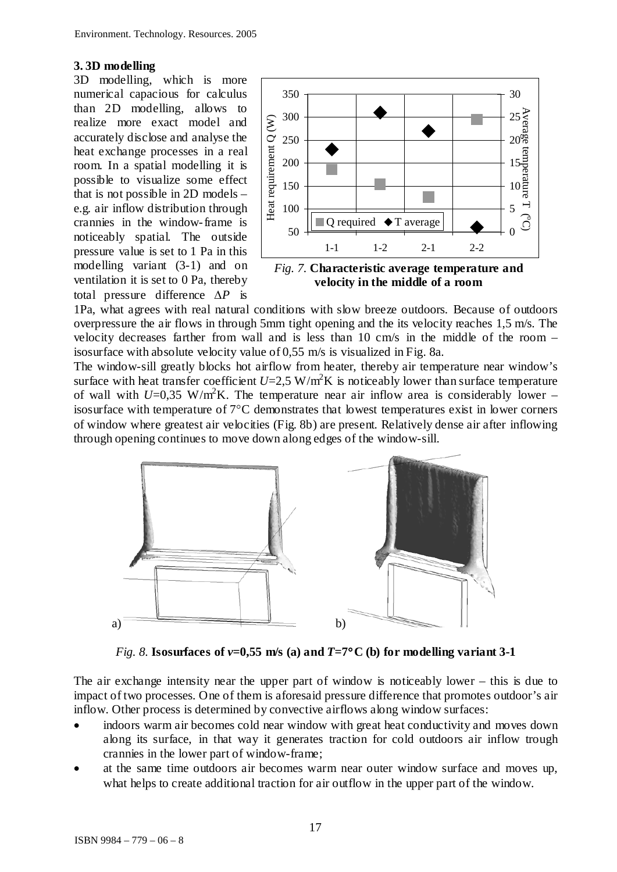## **3. 3D modelling**

3D modelling, which is more numerical capacious for calculus than 2D modelling, allows to realize more exact model and accurately disclose and analyse the heat exchange processes in a real room. In a spatial modelling it is possible to visualize some effect that is not possible in 2D models – e.g. air inflow distribution through crannies in the window-frame is noticeably spatial. The outside pressure value is set to 1 Pa in this modelling variant (3-1) and on ventilation it is set to 0 Pa, thereby total pressure difference ∆*P* is



**velocity in the middle of a room**

1Pa, what agrees with real natural conditions with slow breeze outdoors. Because of outdoors overpressure the air flows in through 5mm tight opening and the its velocity reaches 1,5 m/s. The velocity decreases farther from wall and is less than 10 cm/s in the middle of the room – isosurface with absolute velocity value of 0,55 m/s is visualized in Fig. 8a.

The window-sill greatly blocks hot airflow from heater, thereby air temperature near window's surface with heat transfer coefficient  $U=2.5 \text{ W/m}^2\text{K}$  is noticeably lower than surface temperature of wall with  $U=0.35$  W/m<sup>2</sup>K. The temperature near air inflow area is considerably lower – isosurface with temperature of 7°C demonstrates that lowest temperatures exist in lower corners of window where greatest air velocities (Fig. 8b) are present. Relatively dense air after inflowing through opening continues to move down along edges of the window-sill.



*Fig. 8.* **Isosurfaces of**  $v=0,55$  **m/s (a) and**  $T=7$ **°C (b) for modelling variant 3-1** 

The air exchange intensity near the upper part of window is noticeably lower – this is due to impact of two processes. One of them is aforesaid pressure difference that promotes outdoor's air inflow. Other process is determined by convective airflows along window surfaces:

- indoors warm air becomes cold near window with great heat conductivity and moves down along its surface, in that way it generates traction for cold outdoors air inflow trough crannies in the lower part of window-frame;
- at the same time outdoors air becomes warm near outer window surface and moves up, what helps to create additional traction for air outflow in the upper part of the window.